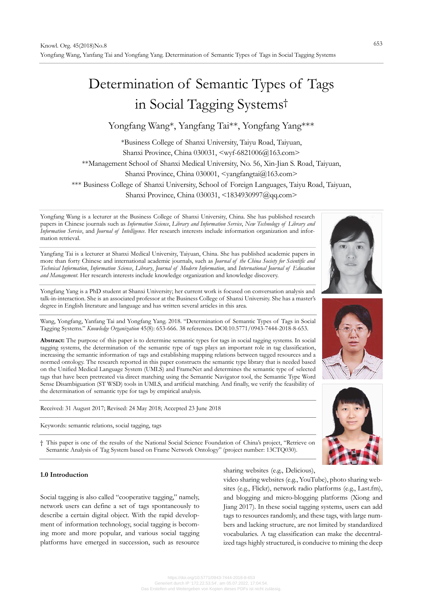# Determination of Semantic Types of Tags in Social Tagging Systems†

# Yongfang Wang\*, Yangfang Tai\*\*, Yongfang Yang\*\*\*

\*Business College of Shanxi University, Taiyu Road, Taiyuan,

Shanxi Province, China 030031, <wyf-6821006@163.com>

\*\*Management School of Shanxi Medical University, No. 56, Xin-Jian S. Road, Taiyuan,

Shanxi Province, China 030001, <yangfangtai@163.com>

\*\*\* Business College of Shanxi University, School of Foreign Languages, Taiyu Road, Taiyuan,

Shanxi Province, China 030031, <1834930997@qq.com>

Yongfang Wang is a lecturer at the Business College of Shanxi University, China. She has published research papers in Chinese journals such as *Information Science*, *Library and Information Service*, *New Technology of Library and Information Service*, and *Journal of Intelligence*. Her research interests include information organization and information retrieval.

Yangfang Tai is a lecturer at Shanxi Medical University, Taiyuan, China. She has published academic papers in more than forty Chinese and international academic journals, such as *Journal of the China Society for Scientific and Technical Information*, *Information Science*, *Library*, *Journal of Modern Information*, and *International Journal of Education and Management*. Her research interests include knowledge organization and knowledge discovery.

Yongfang Yang is a PhD student at Shanxi University; her current work is focused on conversation analysis and talk-in-interaction. She is an associated professor at the Business College of Shanxi University. She has a master's degree in English literature and language and has written several articles in this area.

Wang, Yongfang, Yanfang Tai and Yongfang Yang. 2018. "Determination of Semantic Types of Tags in Social Tagging Systems." *Knowledge Organization* 45(8): 653-666. 38 references. DOI:10.5771/0943-7444-2018-8-653.

**Abstract:** The purpose of this paper is to determine semantic types for tags in social tagging systems. In social tagging systems, the determination of the semantic type of tags plays an important role in tag classification, increasing the semantic information of tags and establishing mapping relations between tagged resources and a normed ontology. The research reported in this paper constructs the semantic type library that is needed based on the Unified Medical Language System (UMLS) and FrameNet and determines the semantic type of selected tags that have been pretreated via direct matching using the Semantic Navigator tool, the Semantic Type Word Sense Disambiguation (ST WSD) tools in UMLS, and artificial matching. And finally, we verify the feasibility of the determination of semantic type for tags by empirical analysis.

Received: 31 August 2017; Revised: 24 May 2018; Accepted 23 June 2018

Keywords: semantic relations, social tagging, tags

† This paper is one of the results of the National Social Science Foundation of China's project, "Retrieve on Semantic Analysis of Tag System based on Frame Network Ontology" (project number: 13CTQ030).

# **1.0 Introduction**

Social tagging is also called "cooperative tagging," namely, network users can define a set of tags spontaneously to describe a certain digital object. With the rapid development of information technology, social tagging is becoming more and more popular, and various social tagging platforms have emerged in succession, such as resource

sharing websites (e.g., Delicious),

video sharing websites (e.g., YouTube), photo sharing websites (e.g., Flickr), network radio platforms (e.g., Last.fm), and blogging and micro-blogging platforms (Xiong and Jiang 2017). In these social tagging systems, users can add tags to resources randomly, and these tags, with large numbers and lacking structure, are not limited by standardized vocabularies. A tag classification can make the decentralized tags highly structured, is conducive to mining the deep





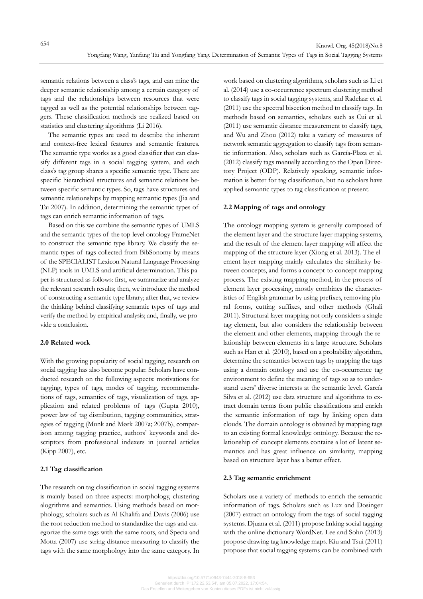semantic relations between a class's tags, and can mine the deeper semantic relationship among a certain category of tags and the relationships between resources that were tagged as well as the potential relationships between taggers. These classification methods are realized based on statistics and clustering algorithms (Li 2016).

The semantic types are used to describe the inherent and context-free lexical features and semantic features. The semantic type works as a good classifier that can classify different tags in a social tagging system, and each class's tag group shares a specific semantic type. There are specific hierarchical structures and semantic relations between specific semantic types. So, tags have structures and semantic relationships by mapping semantic types (Jia and Tai 2007). In addition, determining the semantic types of tags can enrich semantic information of tags.

Based on this we combine the semantic types of UMLS and the semantic types of the top-level ontology FrameNet to construct the semantic type library. We classify the semantic types of tags collected from BibSonomy by means of the SPECIALIST Lexicon Natural Language Processing (NLP) tools in UMLS and artificial determination. This paper is structured as follows: first, we summarize and analyze the relevant research results; then, we introduce the method of constructing a semantic type library; after that, we review the thinking behind classifying semantic types of tags and verify the method by empirical analysis; and, finally, we provide a conclusion.

# **2.0 Related work**

With the growing popularity of social tagging, research on social tagging has also become popular. Scholars have conducted research on the following aspects: motivations for tagging, types of tags, modes of tagging, recommendations of tags, semantics of tags, visualization of tags, application and related problems of tags (Gupta 2010), power law of tag distribution, tagging communities, strategies of tagging (Munk and Mørk 2007a; 2007b), comparison among tagging practice, authors' keywords and descriptors from professional indexers in journal articles (Kipp 2007), etc.

### **2.1 Tag classification**

The research on tag classification in social tagging systems is mainly based on three aspects: morphology, clustering alogrithms and semantics. Using methods based on morphology, scholars such as Al-Khalifa and Davis (2006) use the root reduction method to standardize the tags and categorize the same tags with the same roots, and Specia and Motta (2007) use string distance measuring to classify the tags with the same morphology into the same category. In work based on clustering algorithms, scholars such as Li et al. (2014) use a co-occurrence spectrum clustering method to classify tags in social tagging systems, and Radelaar et al. (2011) use the spectral bisection method to classify tags. In methods based on semantics, scholars such as Cui et al. (2011) use semantic distance measurement to classify tags, and Wu and Zhou (2012) take a variety of measures of network semantic aggregation to classify tags from semantic information. Also, scholars such as García-Plaza et al. (2012) classify tags manually according to the Open Directory Project (ODP). Relatively speaking, semantic information is better for tag classification, but no scholars have applied semantic types to tag classification at present.

# **2.2 Mapping of tags and ontology**

The ontology mapping system is generally composed of the element layer and the structure layer mapping systems, and the result of the element layer mapping will affect the mapping of the structure layer (Xiong et al. 2013). The element layer mapping mainly calculates the similarity between concepts, and forms a concept-to-concept mapping process. The existing mapping method, in the process of element layer processing, mostly combines the characteristics of English grammar by using prefixes, removing plural forms, cutting suffixes, and other methods (Ghali 2011). Structural layer mapping not only considers a single tag element, but also considers the relationship between the element and other elements, mapping through the relationship between elements in a large structure. Scholars such as Han et al. (2010), based on a probability algorithm, determine the semantics between tags by mapping the tags using a domain ontology and use the co-occurrence tag environment to define the meaning of tags so as to understand users' diverse interests at the semantic level. García Silva et al. (2012) use data structure and algorithms to extract domain terms from public classifications and enrich the semantic information of tags by linking open data clouds. The domain ontology is obtained by mapping tags to an existing formal knowledge ontology. Because the relationship of concept elements contains a lot of latent semantics and has great influence on similarity, mapping based on structure layer has a better effect.

# **2.3 Tag semantic enrichment**

Scholars use a variety of methods to enrich the semantic information of tags. Scholars such as Lux and Dosinger (2007) extract an ontology from the tags of social tagging systems. Djuana et al. (2011) propose linking social tagging with the online dictionary WordNet. Lee and Sohn (2013) propose drawing tag knowledge maps. Kiu and Tsui (2011) propose that social tagging systems can be combined with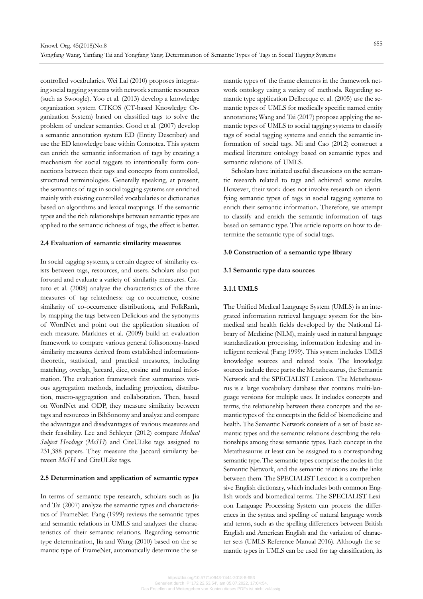controlled vocabularies. Wei Lai (2010) proposes integrating social tagging systems with network semantic resources (such as Swoogle). Yoo et al. (2013) develop a knowledge organization system CTKOS (CT-based Knowledge Organization System) based on classified tags to solve the problem of unclear semantics. Good et al. (2007) develop a semantic annotation system ED (Entity Describer) and use the ED knowledge base within Connotea. This system can enrich the semantic information of tags by creating a mechanism for social taggers to intentionally form connections between their tags and concepts from controlled, structured terminologies. Generally speaking, at present, the semantics of tags in social tagging systems are enriched mainly with existing controlled vocabularies or dictionaries based on algorithms and lexical mappings. If the semantic types and the rich relationships between semantic types are applied to the semantic richness of tags, the effect is better.

### **2.4 Evaluation of semantic similarity measures**

In social tagging systems, a certain degree of similarity exists between tags, resources, and users. Scholars also put forward and evaluate a variety of similarity measures. Cattuto et al. (2008) analyze the characteristics of the three measures of tag relatedness: tag co-occurrence, cosine similarity of co-occurrence distributions, and FolkRank, by mapping the tags between Delicious and the synonyms of WordNet and point out the application situation of each measure. Markines et al. (2009) build an evaluation framework to compare various general folksonomy-based similarity measures derived from established informationtheoretic, statistical, and practical measures, including matching, overlap, Jaccard, dice, cosine and mutual information. The evaluation framework first summarizes various aggregation methods, including projection, distribution, macro-aggregation and collaboration. Then, based on WordNet and ODP, they measure similarity between tags and resources in BibSonomy and analyze and compare the advantages and disadvantages of various measures and their feasibility. Lee and Schleyer (2012) compare *Medical Subject Headings* (*MeSH*) and CiteULike tags assigned to 231,388 papers. They measure the Jaccard similarity between *MeSH* and CiteULike tags.

#### **2.5 Determination and application of semantic types**

In terms of semantic type research, scholars such as Jia and Tai (2007) analyze the semantic types and characteristics of FrameNet. Fang (1999) reviews the semantic types and semantic relations in UMLS and analyzes the characteristics of their semantic relations. Regarding semantic type determination, Jia and Wang (2010) based on the semantic type of FrameNet, automatically determine the semantic types of the frame elements in the framework network ontology using a variety of methods. Regarding semantic type application Delbecque et al. (2005) use the semantic types of UMLS for medically specific named entity annotations; Wang and Tai (2017) propose applying the semantic types of UMLS to social tagging systems to classify tags of social tagging systems and enrich the semantic information of social tags. Mi and Cao (2012) construct a medical literature ontology based on semantic types and semantic relations of UMLS.

Scholars have initiated useful discussions on the semantic research related to tags and achieved some results. However, their work does not involve research on identifying semantic types of tags in social tagging systems to enrich their semantic information. Therefore, we attempt to classify and enrich the semantic information of tags based on semantic type. This article reports on how to determine the semantic type of social tags.

#### **3.0 Construction of a semantic type library**

#### **3.1 Semantic type data sources**

# **3.1.1 UMLS**

The Unified Medical Language System (UMLS) is an integrated information retrieval language system for the biomedical and health fields developed by the National Library of Medicine (NLM), mainly used in natural language standardization processing, information indexing and intelligent retrieval (Fang 1999). This system includes UMLS knowledge sources and related tools. The knowledge sources include three parts: the Metathesaurus, the Semantic Network and the SPECIALIST Lexicon. The Metathesaurus is a large vocabulary database that contains multi-language versions for multiple uses. It includes concepts and terms, the relationship between these concepts and the semantic types of the concepts in the field of biomedicine and health. The Semantic Network consists of a set of basic semantic types and the semantic relations describing the relationships among these semantic types. Each concept in the Metathesaurus at least can be assigned to a corresponding semantic type. The semantic types comprise the nodes in the Semantic Network, and the semantic relations are the links between them. The SPECIALIST Lexicon is a comprehensive English dictionary, which includes both common English words and biomedical terms. The SPECIALIST Lexicon Language Processing System can process the differences in the syntax and spelling of natural language words and terms, such as the spelling differences between British English and American English and the variation of character sets (UMLS Reference Manual 2016). Although the semantic types in UMLS can be used for tag classification, its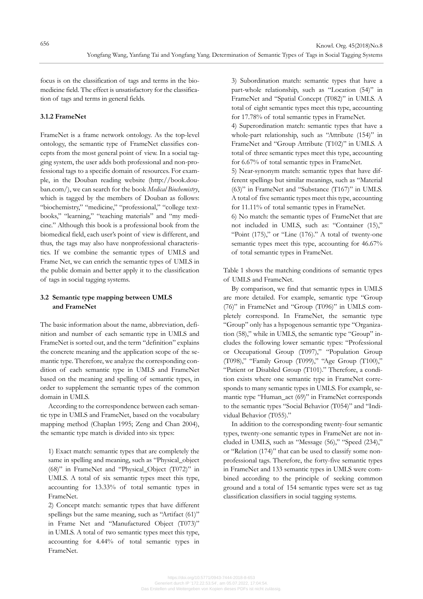focus is on the classification of tags and terms in the biomedicine field. The effect is unsatisfactory for the classification of tags and terms in general fields.

# **3.1.2 FrameNet**

FrameNet is a frame network ontology. As the top-level ontology, the semantic type of FrameNet classifies concepts from the most general point of view. In a social tagging system, the user adds both professional and non-professional tags to a specific domain of resources. For example, in the Douban reading website (http://book.douban.com/), we can search for the book *Medical Biochemistry*, which is tagged by the members of Douban as follows: "biochemistry," "medicine," "professional," "college textbooks," "learning," "teaching materials" and "my medicine." Although this book is a professional book from the biomedical field, each user's point of view is different, and thus, the tags may also have nonprofessional characteristics. If we combine the semantic types of UMLS and Frame Net, we can enrich the semantic types of UMLS in the public domain and better apply it to the classification of tags in social tagging systems.

# **3.2 Semantic type mapping between UMLS and FrameNet**

The basic information about the name, abbreviation, definition and number of each semantic type in UMLS and FrameNet is sorted out, and the term "definition" explains the concrete meaning and the application scope of the semantic type. Therefore, we analyze the corresponding condition of each semantic type in UMLS and FrameNet based on the meaning and spelling of semantic types, in order to supplement the semantic types of the common domain in UMLS.

According to the correspondence between each semantic type in UMLS and FrameNet, based on the vocabulary mapping method (Chaplan 1995; Zeng and Chan 2004), the semantic type match is divided into six types:

 1) Exact match: semantic types that are completely the same in spelling and meaning, such as "Physical\_object (68)" in FrameNet and "Physical\_Object (T072)" in UMLS. A total of six semantic types meet this type, accounting for 13.33% of total semantic types in FrameNet.

 2) Concept match: semantic types that have different spellings but the same meaning, such as "Artifact (61)" in Frame Net and "Manufactured Object (T073)" in UMLS. A total of two semantic types meet this type, accounting for 4.44% of total semantic types in FrameNet.

 3) Subordination match: semantic types that have a part-whole relationship, such as "Location (54)" in FrameNet and "Spatial Concept (T082)" in UMLS. A total of eight semantic types meet this type, accounting for 17.78% of total semantic types in FrameNet.

 4) Superordination match: semantic types that have a whole-part relationship, such as "Attribute (154)" in FrameNet and "Group Attribute (T102)" in UMLS. A total of three semantic types meet this type, accounting for 6.67% of total semantic types in FrameNet.

 5) Near-synonym match: semantic types that have different spellings but similar meanings, such as "Material (63)" in FrameNet and "Substance (T167)" in UMLS. A total of five semantic types meet this type, accounting for 11.11% of total semantic types in FrameNet.

 6) No match: the semantic types of FrameNet that are not included in UMLS, such as: "Container (15)," "Point  $(175)$ ," or "Line  $(176)$ ." A total of twenty-one semantic types meet this type, accounting for 46.67% of total semantic types in FrameNet.

Table 1 shows the matching conditions of semantic types of UMLS and FrameNet.

By comparison, we find that semantic types in UMLS are more detailed. For example, semantic type "Group (76)" in FrameNet and "Group (T096)" in UMLS completely correspond. In FrameNet, the semantic type "Group" only has a hypogenous semantic type "Organization (58)," while in UMLS, the semantic type "Group" includes the following lower semantic types: "Professional or Occupational Group (T097)," "Population Group (T098)," "Family Group (T099)," "Age Group (T100)," "Patient or Disabled Group (T101)." Therefore, a condition exists where one semantic type in FrameNet corresponds to many semantic types in UMLS. For example, semantic type "Human\_act (69)" in FrameNet corresponds to the semantic types "Social Behavior (T054)" and "Individual Behavior (T055)."

In addition to the corresponding twenty-four semantic types, twenty-one semantic types in FrameNet are not included in UMLS, such as "Message (56)," "Speed (234)," or "Relation (174)" that can be used to classify some nonprofessional tags. Therefore, the forty-five semantic types in FrameNet and 133 semantic types in UMLS were combined according to the principle of seeking common ground and a total of 154 semantic types were set as tag classification classifiers in social tagging systems.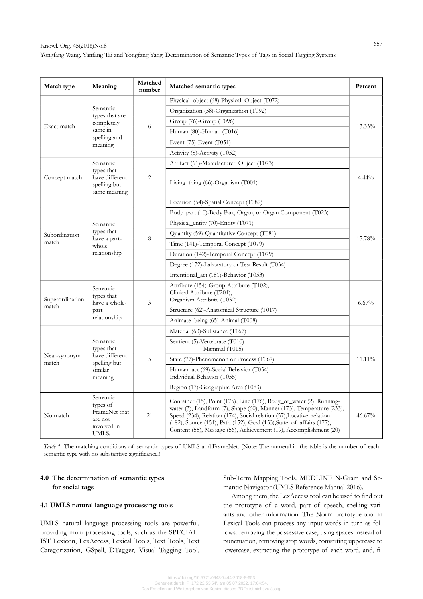| Match type               | Meaning                                                                         | Matched<br>number | Matched semantic types                                                                                                                                                                                                                                                                                                                                             | Percent  |  |
|--------------------------|---------------------------------------------------------------------------------|-------------------|--------------------------------------------------------------------------------------------------------------------------------------------------------------------------------------------------------------------------------------------------------------------------------------------------------------------------------------------------------------------|----------|--|
| Exact match              | Semantic<br>types that are<br>completely<br>same in<br>spelling and<br>meaning. | 6                 | Physical_object (68)-Physical_Object (T072)                                                                                                                                                                                                                                                                                                                        |          |  |
|                          |                                                                                 |                   | Organization (58)-Organization (T092)                                                                                                                                                                                                                                                                                                                              | 13.33%   |  |
|                          |                                                                                 |                   | Group (76)-Group (T096)                                                                                                                                                                                                                                                                                                                                            |          |  |
|                          |                                                                                 |                   | Human (80)-Human (T016)                                                                                                                                                                                                                                                                                                                                            |          |  |
|                          |                                                                                 |                   | Event $(75)$ -Event $(T051)$                                                                                                                                                                                                                                                                                                                                       |          |  |
|                          |                                                                                 |                   | Activity (8)-Activity (T052)                                                                                                                                                                                                                                                                                                                                       |          |  |
|                          | Semantic<br>types that<br>have different<br>spelling but<br>same meaning        | 2                 | Artifact (61)-Manufactured Object (T073)                                                                                                                                                                                                                                                                                                                           |          |  |
| Concept match            |                                                                                 |                   | Living_thing (66)-Organism (T001)                                                                                                                                                                                                                                                                                                                                  | $4.44\%$ |  |
|                          |                                                                                 | 8                 | Location (54)-Spatial Concept (T082)                                                                                                                                                                                                                                                                                                                               |          |  |
|                          |                                                                                 |                   | Body_part (10)-Body Part, Organ, or Organ Component (T023)                                                                                                                                                                                                                                                                                                         | 17.78%   |  |
|                          | Semantic                                                                        |                   | Physical entity (70)-Entity (T071)                                                                                                                                                                                                                                                                                                                                 |          |  |
| Subordination            | types that<br>have a part-<br>whole<br>relationship.                            |                   | Quantity (59)-Quantitative Concept (T081)                                                                                                                                                                                                                                                                                                                          |          |  |
| match                    |                                                                                 |                   | Time (141)-Temporal Concept (T079)                                                                                                                                                                                                                                                                                                                                 |          |  |
|                          |                                                                                 |                   | Duration (142)-Temporal Concept (T079)                                                                                                                                                                                                                                                                                                                             |          |  |
|                          |                                                                                 |                   | Degree (172)-Laboratory or Test Result (T034)                                                                                                                                                                                                                                                                                                                      |          |  |
|                          |                                                                                 |                   | Intentional_act (181)-Behavior (T053)                                                                                                                                                                                                                                                                                                                              |          |  |
| Superordination<br>match | Semantic<br>types that<br>have a whole-<br>part<br>relationship.                | 3                 | Attribute (154)-Group Attribute (T102),<br>Clinical Attribute (T201),<br>Organism Attribute (T032)                                                                                                                                                                                                                                                                 | $6.67\%$ |  |
|                          |                                                                                 |                   | Structure (62)-Anatomical Structure (T017)                                                                                                                                                                                                                                                                                                                         |          |  |
|                          |                                                                                 |                   | Animate_being (65)-Animal (T008)                                                                                                                                                                                                                                                                                                                                   |          |  |
| Near-synonym<br>match    | Semantic<br>types that<br>have different<br>spelling but<br>similar<br>meaning. | 5                 | Material (63)-Substance (T167)                                                                                                                                                                                                                                                                                                                                     |          |  |
|                          |                                                                                 |                   | Sentient (5)-Vertebrate (T010)<br>Mammal (T015)                                                                                                                                                                                                                                                                                                                    | 11.11%   |  |
|                          |                                                                                 |                   | State (77)-Phenomenon or Process (T067)                                                                                                                                                                                                                                                                                                                            |          |  |
|                          |                                                                                 |                   | Human_act (69)-Social Behavior (T054)<br>Individual Behavior (T055)                                                                                                                                                                                                                                                                                                |          |  |
|                          |                                                                                 |                   | Region (17)-Geographic Area (T083)                                                                                                                                                                                                                                                                                                                                 |          |  |
| No match                 | Semantic<br>types of<br>FrameNet that<br>are not<br>involved in<br>UMLS.        | 21                | Container (15), Point (175), Line (176), Body_of_water (2), Running-<br>water (3), Landform (7), Shape (60), Manner (173), Temperature (233),<br>Speed (234), Relation (174), Social relation (57), Locative_relation<br>(182), Source (151), Path (152), Goal (153), State_of_affairs (177),<br>Content (55), Message (56), Achievement (19), Accomplishment (20) |          |  |

*Table 1*. The matching conditions of semantic types of UMLS and FrameNet. (Note: The numeral in the table is the number of each semantic type with no substantive significance.)

# **4.0 The determination of semantic types for social tags**

# **4.1 UMLS natural language processing tools**

UMLS natural language processing tools are powerful, providing multi-processing tools, such as the SPECIAL-IST Lexicon, LexAccess, Lexical Tools, Text Tools, Text Categorization, GSpell, DTagger, Visual Tagging Tool, Sub-Term Mapping Tools, MEDLINE N-Gram and Semantic Navigator (UMLS Reference Manual 2016).

Among them, the LexAccess tool can be used to find out the prototype of a word, part of speech, spelling variants and other information. The Norm prototype tool in Lexical Tools can process any input words in turn as follows: removing the possessive case, using spaces instead of punctuation, removing stop words, converting uppercase to lowercase, extracting the prototype of each word, and, fi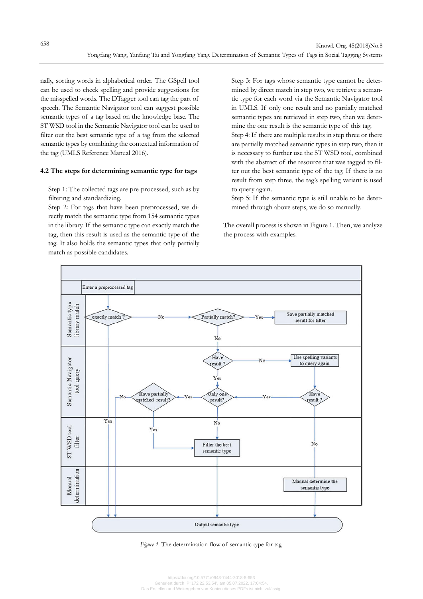nally, sorting words in alphabetical order. The GSpell tool can be used to check spelling and provide suggestions for the misspelled words. The DTagger tool can tag the part of speech. The Semantic Navigator tool can suggest possible semantic types of a tag based on the knowledge base. The ST WSD tool in the Semantic Navigator tool can be used to filter out the best semantic type of a tag from the selected semantic types by combining the contextual information of the tag (UMLS Reference Manual 2016).

# **4.2 The steps for determining semantic type for tags**

 Step 1: The collected tags are pre-processed, such as by filtering and standardizing.

 Step 2: For tags that have been preprocessed, we directly match the semantic type from 154 semantic types in the library. If the semantic type can exactly match the tag, then this result is used as the semantic type of the tag. It also holds the semantic types that only partially match as possible candidates.

 Step 3: For tags whose semantic type cannot be determined by direct match in step two, we retrieve a semantic type for each word via the Semantic Navigator tool in UMLS. If only one result and no partially matched semantic types are retrieved in step two, then we determine the one result is the semantic type of this tag. Step 4: If there are multiple results in step three or there are partially matched semantic types in step two, then it is necessary to further use the ST WSD tool, combined with the abstract of the resource that was tagged to filter out the best semantic type of the tag. If there is no result from step three, the tag's spelling variant is used to query again.

 Step 5: If the semantic type is still unable to be determined through above steps, we do so manually.

The overall process is shown in Figure 1. Then, we analyze the process with examples.



*Figure 1*. The determination flow of semantic type for tag.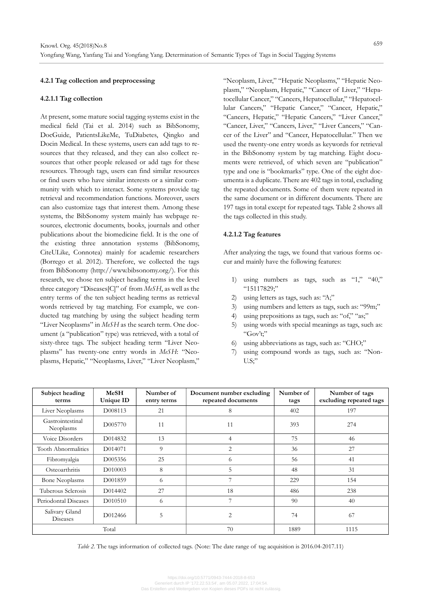# **4.2.1 Tag collection and preprocessing**

#### **4.2.1.1 Tag collection**

At present, some mature social tagging systems exist in the medical field (Tai et al. 2014) such as BibSonomy, DocGuide, PatientsLikeMe, TuDiabetes, Qingko and Docin Medical. In these systems, users can add tags to resources that they released, and they can also collect resources that other people released or add tags for these resources. Through tags, users can find similar resources or find users who have similar interests or a similar community with which to interact. Some systems provide tag retrieval and recommendation functions. Moreover, users can also customize tags that interest them. Among these systems, the BibSonomy system mainly has webpage resources, electronic documents, books, journals and other publications about the biomedicine field. It is the one of the existing three annotation systems (BibSonomy, CiteULike, Connotea) mainly for academic researchers (Borrego et al. 2012). Therefore, we collected the tags from BibSonomy (http://www.bibsonomy.org/). For this research, we chose ten subject heading terms in the level three category "Diseases[C]" of from *MeSH*, as well as the entry terms of the ten subject heading terms as retrieval words retrieved by tag matching. For example, we conducted tag matching by using the subject heading term "Liver Neoplasms" in *MeSH* as the search term. One document (a "publication" type) was retrieved, with a total of sixty-three tags. The subject heading term "Liver Neoplasms" has twenty-one entry words in *MeSH*: "Neoplasms, Hepatic," "Neoplasms, Liver," "Liver Neoplasm,"

"Neoplasm, Liver," "Hepatic Neoplasms," "Hepatic Neoplasm," "Neoplasm, Hepatic," "Cancer of Liver," "Hepatocellular Cancer," "Cancers, Hepatocellular," "Hepatocellular Cancers," "Hepatic Cancer," "Cancer, Hepatic," "Cancers, Hepatic," "Hepatic Cancers," "Liver Cancer," "Cancer, Liver," "Cancers, Liver," "Liver Cancers," "Cancer of the Liver" and "Cancer, Hepatocellular." Then we used the twenty-one entry words as keywords for retrieval in the BibSonomy system by tag matching. Eight documents were retrieved, of which seven are "publication" type and one is "bookmarks" type. One of the eight documenta is a duplicate. There are 402 tags in total, excluding the repeated documents. Some of them were repeated in the same document or in different documents. There are 197 tags in total except for repeated tags. Table 2 shows all the tags collected in this study.

#### **4.2.1.2 Tag features**

After analyzing the tags, we found that various forms occur and mainly have the following features:

- 1) using numbers as tags, such as "1," "40," "15117829;"
- 2) using letters as tags, such as: "A;"
- 3) using numbers and letters as tags, such as: "99m;"
- 4) using prepositions as tags, such as: "of," "as;"
- 5) using words with special meanings as tags, such as: "Gov't;"
- 6) using abbreviations as tags, such as: "CHO;"
- 7) using compound words as tags, such as: "Non- $U.S$ ;"

| Subject heading<br>terms                 | <b>MeSH</b><br>Unique ID | Number of<br>entry terms | Document number excluding<br>repeated documents | Number of<br>tags | Number of tags<br>excluding repeated tags |
|------------------------------------------|--------------------------|--------------------------|-------------------------------------------------|-------------------|-------------------------------------------|
| Liver Neoplasms                          | D008113                  | 21                       | 8                                               | 402               | 197                                       |
| Gastrointestinal<br>D005770<br>Neoplasms |                          | 11                       | 11                                              | 393               | 274                                       |
| Voice Disorders                          | D014832                  | 13                       | 4                                               | 75                | 46                                        |
| Tooth Abnormalities                      | D014071                  | 9                        | 2                                               | 36                | 27                                        |
| Fibromyalgia                             | D005356                  | 25                       | 6                                               | 56                | 41                                        |
| Osteoarthritis                           | D010003                  | 8                        | 5                                               | 48                | 31                                        |
| <b>Bone Neoplasms</b>                    | D <sub>001859</sub>      | 6                        |                                                 | 229               | 154                                       |
| Tuberous Sclerosis                       | D014402                  | 27                       | 18                                              | 486               | 238                                       |
| Periodontal Diseases                     | D010510                  | 6                        | 7                                               | 90                | 40                                        |
| Salivary Gland<br><b>Diseases</b>        | D012466                  | 5                        | 2                                               | 74                | 67                                        |
| Total                                    |                          |                          | 70                                              | 1889              | 1115                                      |

*Table 2.* The tags information of collected tags. (Note: The date range of tag acquisition is 2016.04-2017.11)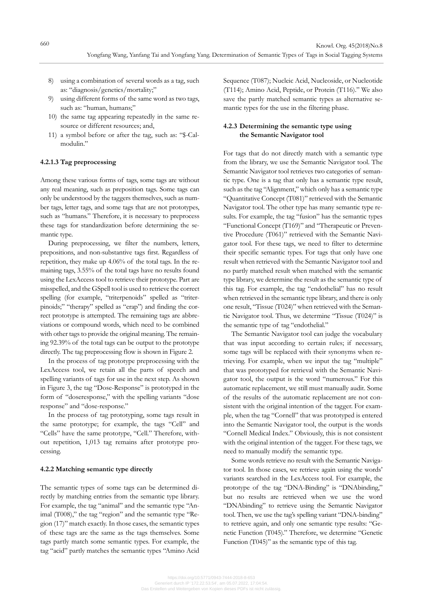- 8) using a combination of several words as a tag, such as: "diagnosis/genetics/mortality;"
- 9) using different forms of the same word as two tags, such as: "human, humans;"
- 10) the same tag appearing repeatedly in the same resource or different resources; and,
- 11) a symbol before or after the tag, such as: "\$-Calmodulin."

# **4.2.1.3 Tag preprocessing**

Among these various forms of tags, some tags are without any real meaning, such as preposition tags. Some tags can only be understood by the taggers themselves, such as number tags, letter tags, and some tags that are not prototypes, such as "humans." Therefore, it is necessary to preprocess these tags for standardization before determining the semantic type.

During preprocessing, we filter the numbers, letters, prepositions, and non-substantive tags first. Regardless of repetition, they make up 4.06% of the total tags. In the remaining tags, 3.55% of the total tags have no results found using the LexAccess tool to retrieve their prototype. Part are misspelled, and the GSpell tool is used to retrieve the correct spelling (for example, "triterpenoids" spelled as "triterpinoids;" "therapy" spelled as "erap") and finding the correct prototype is attempted. The remaining tags are abbreviations or compound words, which need to be combined with other tags to provide the original meaning. The remaining 92.39% of the total tags can be output to the prototype directly. The tag preprocessing flow is shown in Figure 2.

In the process of tag prototype preprocessing with the LexAccess tool, we retain all the parts of speech and spelling variants of tags for use in the next step. As shown in Figure 3, the tag "Dose-Response" is prototyped in the form of "doseresponse," with the spelling variants "dose response" and "dose-response."

In the process of tag prototyping, some tags result in the same prototype; for example, the tags "Cell" and "Cells" have the same prototype, "Cell." Therefore, without repetition, 1,013 tag remains after prototype processing.

#### **4.2.2 Matching semantic type directly**

The semantic types of some tags can be determined directly by matching entries from the semantic type library. For example, the tag "animal" and the semantic type "Animal (T008)," the tag "region" and the semantic type "Region (17)" match exactly. In those cases, the semantic types of these tags are the same as the tags themselves. Some tags partly match some semantic types. For example, the tag "acid" partly matches the semantic types "Amino Acid

Sequence (T087); Nucleic Acid, Nucleoside, or Nucleotide (T114); Amino Acid, Peptide, or Protein (T116)." We also save the partly matched semantic types as alternative semantic types for the use in the filtering phase.

# **4.2.3 Determining the semantic type using the Semantic Navigator tool**

For tags that do not directly match with a semantic type from the library, we use the Semantic Navigator tool. The Semantic Navigator tool retrieves two categories of semantic type. One is a tag that only has a semantic type result, such as the tag "Alignment," which only has a semantic type "Quantitative Concept (T081)" retrieved with the Semantic Navigator tool. The other type has many semantic type results. For example, the tag "fusion" has the semantic types "Functional Concept (T169)" and "Therapeutic or Preventive Procedure (T061)" retrieved with the Semantic Navigator tool. For these tags, we need to filter to determine their specific semantic types. For tags that only have one result when retrieved with the Semantic Navigator tool and no partly matched result when matched with the semantic type library, we determine the result as the semantic type of this tag. For example, the tag "endothelial" has no result when retrieved in the semantic type library, and there is only one result, "Tissue (T024)" when retrieved with the Semantic Navigator tool. Thus, we determine "Tissue (T024)" is the semantic type of tag "endothelial."

The Semantic Navigator tool can judge the vocabulary that was input according to certain rules; if necessary, some tags will be replaced with their synonyms when retrieving. For example, when we input the tag "multiple" that was prototyped for retrieval with the Semantic Navigator tool, the output is the word "numerous." For this automatic replacement, we still must manually audit. Some of the results of the automatic replacement are not consistent with the original intention of the tagger. For example, when the tag "Cornell" that was prototyped is entered into the Semantic Navigator tool, the output is the words "Cornell Medical Index." Obviously, this is not consistent with the original intention of the tagger. For these tags, we need to manually modify the semantic type.

Some words retrieve no result with the Semantic Navigator tool. In those cases, we retrieve again using the words' variants searched in the LexAccess tool. For example, the prototype of the tag "DNA-Binding" is "DNAbinding," but no results are retrieved when we use the word "DNAbinding" to retrieve using the Semantic Navigator tool. Then, we use the tag's spelling variant "DNA-binding" to retrieve again, and only one semantic type results: "Genetic Function (T045)." Therefore, we determine "Genetic Function (T045)" as the semantic type of this tag.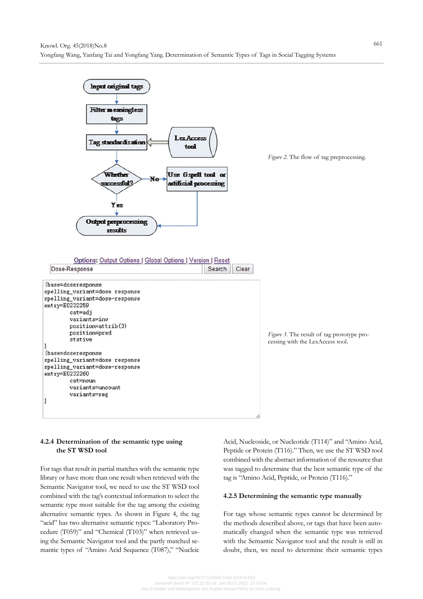

# **4.2.4 Determination of the semantic type using the ST WSD tool**

For tags that result in partial matches with the semantic type library or have more than one result when retrieved with the Semantic Navigator tool, we need to use the ST WSD tool combined with the tag's contextual information to select the semantic type most suitable for the tag among the existing alternative semantic types. As shown in Figure 4, the tag "acid" has two alternative semantic types: "Laboratory Procedure (T059)" and "Chemical (T103)" when retrieved using the Semantic Navigator tool and the partly matched semantic types of "Amino Acid Sequence (T087)," "Nucleic Acid, Nucleoside, or Nucleotide (T114)" and "Amino Acid, Peptide or Protein (T116)." Then, we use the ST WSD tool combined with the abstract information of the resource that was tagged to determine that the best semantic type of the tag is "Amino Acid, Peptide, or Protein (T116)."

# **4.2.5 Determining the semantic type manually**

For tags whose semantic types cannot be determined by the methods described above, or tags that have been automatically changed when the semantic type was retrieved with the Semantic Navigator tool and the result is still in doubt, then, we need to determine their semantic types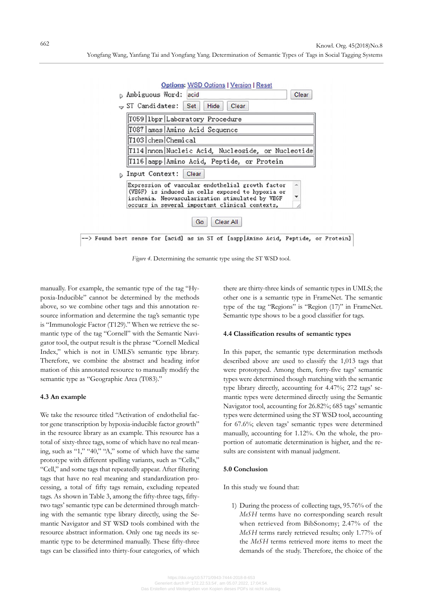

*Figure 4*. Determining the semantic type using the ST WSD tool.

manually. For example, the semantic type of the tag "Hypoxia-Inducible" cannot be determined by the methods above, so we combine other tags and this annotation resource information and determine the tag's semantic type is "Immunologic Factor (T129)." When we retrieve the semantic type of the tag "Cornell" with the Semantic Navigator tool, the output result is the phrase "Cornell Medical Index," which is not in UMLS's semantic type library. Therefore, we combine the abstract and heading infor mation of this annotated resource to manually modify the semantic type as "Geographic Area (T083)."

### **4.3 An example**

We take the resource titled "Activation of endothelial factor gene transcription by hypoxia-inducible factor growth" in the resource library as an example. This resource has a total of sixty-three tags, some of which have no real meaning, such as "1," "40," "A," some of which have the same prototype with different spelling variants, such as "Cells," "Cell," and some tags that repeatedly appear. After filtering tags that have no real meaning and standardization processing, a total of fifty tags remain, excluding repeated tags. As shown in Table 3, among the fifty-three tags, fiftytwo tags' semantic type can be determined through matching with the semantic type library directly, using the Semantic Navigator and ST WSD tools combined with the resource abstract information. Only one tag needs its semantic type to be determined manually. These fifty-three tags can be classified into thirty-four categories, of which there are thirty-three kinds of semantic types in UMLS; the other one is a semantic type in FrameNet. The semantic type of the tag "Regions" is "Region (17)" in FrameNet. Semantic type shows to be a good classifier for tags.

### **4.4 Classification results of semantic types**

In this paper, the semantic type determination methods described above are used to classify the 1,013 tags that were prototyped. Among them, forty-five tags' semantic types were determined though matching with the semantic type library directly, accounting for 4.47%; 272 tags' semantic types were determined directly using the Semantic Navigator tool, accounting for 26.82%; 685 tags' semantic types were determined using the ST WSD tool, accounting for 67.6%; eleven tags' semantic types were determined manually, accounting for 1.12%. On the whole, the proportion of automatic determination is higher, and the results are consistent with manual judgment.

### **5.0 Conclusion**

In this study we found that:

1) During the process of collecting tags, 95.76% of the *MeSH* terms have no corresponding search result when retrieved from BibSonomy; 2.47% of the *MeSH* terms rarely retrieved results; only 1.77% of the *MeSH* terms retrieved more items to meet the demands of the study. Therefore, the choice of the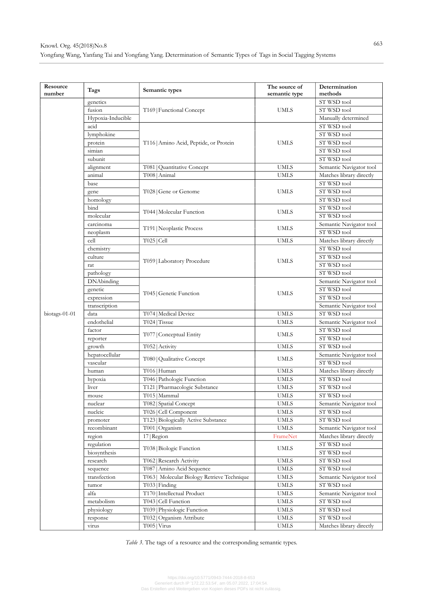| Resource<br>number | Tags                | Semantic types                              | The source of<br>semantic type | Determination<br>methods   |
|--------------------|---------------------|---------------------------------------------|--------------------------------|----------------------------|
|                    | genetics            |                                             |                                | ST WSD tool                |
|                    | fusion              | T169   Functional Concept                   | UMLS                           | ST WSD tool                |
|                    | Hypoxia-Inducible   |                                             |                                | Manually determined        |
|                    | acid                |                                             |                                | ST WSD tool                |
|                    | lymphokine          |                                             |                                | ST WSD tool                |
|                    |                     |                                             | <b>UMLS</b>                    | ST WSD tool                |
|                    | protein<br>simian   | T116   Amino Acid, Peptide, or Protein      |                                |                            |
|                    |                     |                                             |                                | ST WSD tool<br>ST WSD tool |
|                    | subunit             |                                             |                                |                            |
|                    | alignment<br>animal | T081   Quantitative Concept                 | <b>UMLS</b>                    | Semantic Navigator tool    |
|                    |                     | T008   Animal                               | <b>UMLS</b>                    | Matches library directly   |
|                    | base                |                                             | <b>UMLS</b>                    | ST WSD tool                |
|                    | gene                | T028   Gene or Genome                       |                                | ST WSD tool                |
|                    | homology            |                                             |                                | ST WSD tool                |
|                    | bind                | T044   Molecular Function                   | <b>UMLS</b>                    | ST WSD tool                |
|                    | molecular           |                                             |                                | ST WSD tool                |
|                    | carcinoma           | T191   Neoplastic Process                   | <b>UMLS</b>                    | Semantic Navigator tool    |
|                    | neoplasm            |                                             |                                | ST WSD tool                |
|                    | cell                | T025   Cell                                 | <b>UMLS</b>                    | Matches library directly   |
|                    | chemistry           |                                             |                                | ST WSD tool                |
|                    | culture             | T059   Laboratory Procedure                 | <b>UMLS</b>                    | ST WSD tool                |
|                    | rat                 |                                             |                                | ST WSD tool                |
|                    | pathology           |                                             |                                | ST WSD tool                |
|                    | <b>DNA</b> binding  |                                             | <b>UMLS</b>                    | Semantic Navigator tool    |
|                    | genetic             | T045   Genetic Function                     |                                | ST WSD tool                |
|                    | expression          |                                             |                                | ST WSD tool                |
|                    | transcription       |                                             |                                | Semantic Navigator tool    |
| biotags-01-01      | data                | T074   Medical Device                       | <b>UMLS</b>                    | ST WSD tool                |
|                    | endothelial         | T024   Tissue                               | <b>UMLS</b>                    | Semantic Navigator tool    |
|                    | factor              | T077   Conceptual Entity                    | <b>UMLS</b>                    | ST WSD tool                |
|                    | reporter            |                                             |                                | ST WSD tool                |
|                    | growth              | T052   Activity                             | <b>UMLS</b>                    | ST WSD tool                |
|                    | hepatocellular      | T080   Qualitative Concept                  | UMLS                           | Semantic Navigator tool    |
|                    | vascular            |                                             |                                | ST WSD tool                |
|                    | human               | T016   Human                                | <b>UMLS</b>                    | Matches library directly   |
|                    | hypoxia             | T046   Pathologic Function                  | <b>UMLS</b>                    | ST WSD tool                |
|                    | liver               | T121   Pharmacologic Substance              | <b>UMLS</b>                    | ST WSD tool                |
|                    | mouse               | T015   Mammal                               | <b>UMLS</b>                    | ST WSD tool                |
|                    | nuclear             | T082 Spatial Concept                        | UMLS                           | Semantic Navigator tool    |
|                    | nucleic             | T026   Cell Component                       | <b>UMLS</b>                    | ST WSD tool                |
|                    | promoter            | T123   Biologically Active Substance        | <b>UMLS</b>                    | ST WSD tool                |
|                    | recombinant         | T001   Organism                             | <b>UMLS</b>                    | Semantic Navigator tool    |
|                    | region              | 17 Region                                   | FrameNet                       | Matches library directly   |
|                    | regulation          | T038   Biologic Function                    | UMLS                           | ST WSD tool                |
|                    | biosynthesis        |                                             |                                | ST WSD tool                |
|                    | research            | T062   Research Activity                    | <b>UMLS</b>                    | ST WSD tool                |
|                    | sequence            | T087   Amino Acid Sequence                  | <b>UMLS</b>                    | ST WSD tool                |
|                    | transfection        | T063   Molecular Biology Retrieve Technique | <b>UMLS</b>                    | Semantic Navigator tool    |
|                    | tumor               | T033   Finding                              | <b>UMLS</b>                    | ST WSD tool                |
|                    | alfa                | T170   Intellectual Product                 | <b>UMLS</b>                    | Semantic Navigator tool    |
|                    | metabolism          | T043   Cell Function                        | <b>UMLS</b>                    | ST WSD tool                |
|                    | physiology          | T039   Physiologic Function                 | UMLS                           | ST WSD tool                |
|                    | response            | T032   Organism Attribute                   | UMLS                           | ST WSD tool                |
|                    | virus               | T005   Virus                                | <b>UMLS</b>                    | Matches library directly   |

*Table 3*. The tags of a resource and the corresponding semantic types.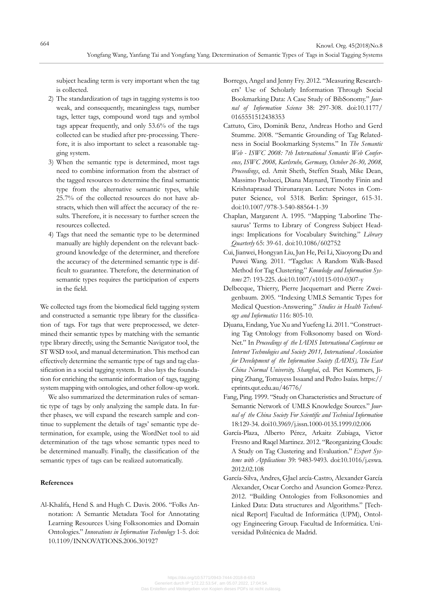subject heading term is very important when the tag is collected.

- 2) The standardization of tags in tagging systems is too weak, and consequently, meaningless tags, number tags, letter tags, compound word tags and symbol tags appear frequently, and only 53.6% of the tags collected can be studied after pre-processing. Therefore, it is also important to select a reasonable tagging system.
- 3) When the semantic type is determined, most tags need to combine information from the abstract of the tagged resources to determine the final semantic type from the alternative semantic types, while 25.7% of the collected resources do not have abstracts, which then will affect the accuracy of the results. Therefore, it is necessary to further screen the resources collected.
- 4) Tags that need the semantic type to be determined manually are highly dependent on the relevant background knowledge of the determiner, and therefore the accuracy of the determined semantic type is difficult to guarantee. Therefore, the determination of semantic types requires the participation of experts in the field.

We collected tags from the biomedical field tagging system and constructed a semantic type library for the classification of tags. For tags that were preprocessed, we determined their semantic types by matching with the semantic type library directly, using the Semantic Navigator tool, the ST WSD tool, and manual determination. This method can effectively determine the semantic type of tags and tag classification in a social tagging system. It also lays the foundation for enriching the semantic information of tags, tagging system mapping with ontologies, and other follow-up work.

We also summarized the determination rules of semantic type of tags by only analyzing the sample data. In further phases, we will expand the research sample and continue to supplement the details of tags' semantic type determination, for example, using the WordNet tool to aid determination of the tags whose semantic types need to be determined manually. Finally, the classification of the semantic types of tags can be realized automatically.

# **References**

Al-Khalifa, Hend S. and Hugh C. Davis. 2006. "Folks Annotation: A Semantic Metadata Tool for Annotating Learning Resources Using Folksonomies and Domain Ontologies." *Innovations in Information Technology* 1-5. doi: 10.1109/INNOVATIONS.2006.301927

- Borrego, Angel and Jenny Fry. 2012. "Measuring Researchers' Use of Scholarly Information Through Social Bookmarking Data: A Case Study of BibSonomy." *Journal of Information Science* 38: 297-308. doi:10.1177/ 0165551512438353
- Cattuto, Ciro, Dominik Benz, Andreas Hotho and Gerd Stumme. 2008. "Semantic Grounding of Tag Relatedness in Social Bookmarking Systems." In *The Semantic Web - ISWC 2008: 7th International Semantic Web Conference, ISWC 2008, Karlsruhe, Germany, October 26-30, 2008, Proceedings*, ed. Amit Sheth, Steffen Staab, Mike Dean, Massimo Paolucci, Diana Maynard, Timothy Finin and Krishnaprasad Thirunarayan. Lecture Notes in Computer Science, vol 5318*.* Berlin: Springer, 615-31. doi:10.1007/978-3-540-88564-1-39
- Chaplan, Margarent A. 1995. "Mapping 'Laborline Thesaurus' Terms to Library of Congress Subject Headings: Implications for Vocabulary Switching." *Library Quarterly* 65: 39-61. doi:10.1086/602752
- Cui, Jianwei, Hongyan Liu, Jun He, Pei Li, Xiaoyong Du and Puwei Wang. 2011. "Tagclus: A Random Walk-Based Method for Tag Clustering." *Knowledge and Information Systems* 27: 193-225. doi:10.1007/s10115-010-0307-y
- Delbecque, Thierry, Pierre Jacquemart and Pierre Zweigenbaum. 2005. "Indexing UMLS Semantic Types for Medical Question-Answering." *Studies in Health Technology and Informatics* 116: 805-10.
- Djuana, Endang, Yue Xu and Yuefeng Li. 2011. "Constructing Tag Ontology from Folksonomy based on Word-Net." In *Proceedings of the IADIS International Conference on Internet Technologies and Society 2011, International Association for Development of the Information Society (IADIS), The East China Normal University, Shanghai*, ed. Piet Kommers, Jiping Zhang, Tomayess Issaand and Pedro Isaías. https:// eprints.qut.edu.au/46776/
- Fang, Ping. 1999. "Study on Characteristics and Structure of Semantic Network of UMLS Knowledge Sources." *Journal of the China Society For Scientific and Technical Information*  18:129-34. doi10.3969/j.issn.1000-0135.1999.02.006
- García-Plaza, Alberto Pérez, Arkaitz Zubiaga, Victor Fresno and Raqel Martinez. 2012. "Reorganizing Clouds: A Study on Tag Clustering and Evaluation." *Expert Systems with Applications* 39: 9483-9493. doi:10.1016/j.eswa. 2012.02.108
- García-Silva, Andres, GJael arcía-Castro, Alexander García Alexander, Oscar Corcho and Asuncion Gomez-Perez. 2012. "Building Ontologies from Folksonomies and Linked Data: Data structures and Algorithms." [Technical Report] Facultad de Informática (UPM), Ontology Engineering Group. Facultad de Informática. Universidad Politécnica de Madrid.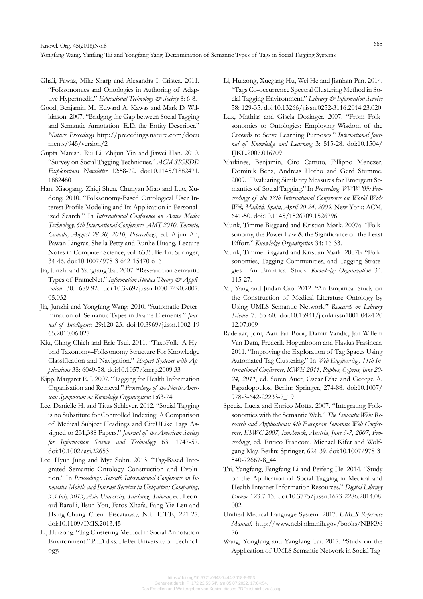- Ghali, Fawaz, Mike Sharp and Alexandra I. Cristea. 2011. "Folksonomies and Ontologies in Authoring of Adaptive Hypermedia." Educational Technology & Society 8: 6-8.
- Good, Benjamin M., Edward A. Kawas and Mark D. Wilkinson. 2007. "Bridging the Gap between Social Tagging and Semantic Annotation: E.D. the Entity Describer." *Nature Precedings* http://precedings.nature.com/docu ments/945/version/2
- Gupta Manish, Rui Li, Zhijun Yin and Jiawei Han. 2010. "Survey on Social Tagging Techniques." *ACM SIGKDD Explorations Newsletter* 12:58-72. doi:10.1145/1882471. 1882480
- Han, Xiaogang, Zhiqi Shen, Chunyan Miao and Luo, Xudong. 2010. "Folksonomy-Based Ontological User Interest Profile Modeling and Its Application in Personalized Search." In *International Conference on Active Media Technology, 6th International Conference, AMT 2010, Toronto, Canada, August 28-30, 2010, Proceedings*, ed. Aijun An, Pawan Lingras, Sheila Petty and Runhe Huang*.* Lecture Notes in Computer Science, vol. 6335. Berlin: Springer, 34-46. doi:10.1007/978-3-642-15470-6\_6
- Jia, Junzhi and Yangfang Tai. 2007. "Research on Semantic Types of FrameNet." *Information Studies Theory & Application* 30: 689-92. doi:10.3969/j.issn.1000-7490.2007. 05.032
- Jia, Junzhi and Yongfang Wang. 2010. "Automatic Determination of Semantic Types in Frame Elements." *Journal of Intelligence* 29:120-23. doi:10.3969/j.issn.1002-19 65.2010.06.027
- Kiu, Ching-Chieh and Eric Tsui. 2011. "TaxoFolk: A Hybrid Taxonomy–Folksonomy Structure For Knowledge Classification and Navigation." *Expert Systems with Applications* 38: 6049-58. doi:10.1057/kmrp.2009.33
- Kipp, Margaret E. I. 2007. "Tagging for Health Information Organisation and Retrieval." *Proceedings of the North American Symposium on Knowledge Organization* 1:63-74.
- Lee, Danielle H. and Titus Schleyer. 2012. "Social Tagging is no Substitute for Controlled Indexing: A Comparison of Medical Subject Headings and CiteULike Tags Assigned to 231,388 Papers." *Journal of the American Society for Information Science and Technology* 63: 1747-57. doi:10.1002/asi.22653
- Lee, Hyun Jung and Mye Sohn. 2013. "Tag-Based Integrated Semantic Ontology Construction and Evolution." In *Proceedings: Seventh International Conference on Innovative Mobile and Internet Services in Ubiquitous Computing, 3-5 July, 3013, Asia University, Taichung, Taiwan*, ed. Leonard Barolli, Ilsun You, Fatos Xhafa, Fang-Yie Leu and Hsing-Chung Chen*.* Piscataway, N.J.: IEEE, 221-27. doi:10.1109/IMIS.2013.45
- Li, Huizong. "Tag Clustering Method in Social Annotation Environment." PhD diss. HeFei University of Technology.
- Li, Huizong, Xuegang Hu, Wei He and Jianhan Pan. 2014. "Tags Co-occurrence Spectral Clustering Method in Social Tagging Environment." *Library & Information Service* 58: 129-35. doi:10.13266/j.issn.0252-3116.2014.23.020
- Lux, Mathias and Gisela Dosinger. 2007. "From Folksonomies to Ontologies: Employing Wisdom of the Crowds to Serve Learning Purposes." *International Journal of Knowledge and Learning* 3: 515-28. doi:10.1504/ IJKL.2007.016709
- Markines, Benjamin, Ciro Cattuto, Fillippo Menczer, Dominik Benz, Andreas Hotho and Gerd Stumme. 2009. "Evaluating Similarity Measures for Emergent Semantics of Social Tagging." In *Proceeding WWW '09: Proceedings of the 18th International Conference on World Wide Web, Madrid, Spain, April 20-24, 2009*. New York: ACM, 641-50. doi:10.1145/1526709.1526796
- Munk, Timme Bisgaard and Kristian Mørk. 2007a. "Folksonomy, the Power Law & the Significance of the Least Effort." *Knowledge Organization* 34: 16-33.
- Munk, Timme Bisgaard and Kristian Mørk. 2007b. "Folksonomies, Tagging Communities, and Tagging Strategies—An Empirical Study. *Knowledge Organization* 34: 115-27.
- Mi, Yang and Jindan Cao. 2012. "An Empirical Study on the Construction of Medical Literature Ontology by Using UMLS Semantic Network." *Research on Library Science* 7: 55-60. doi:10.15941/j.cnki.issn1001-0424.20 12.07.009
- Radelaar, Joni, Aart-Jan Boor, Damir Vandic, Jan-Willem Van Dam, Frederik Hogenboom and Flavius Frasincar. 2011. "Improving the Exploration of Tag Spaces Using Automated Tag Clustering." In *Web Engineering, 11th International Conference, ICWE 2011, Paphos, Cyprus, June 20- 24, 2011*, ed. Sören Auer, Oscar Díaz and George A. Papadopoulos. Berlin: Springer, 274-88. doi:10.1007/ 978-3-642-22233-7\_19
- Specia, Lucia and Enrico Motta. 2007. "Integrating Folksonomies with the Semantic Web." *The Semantic Web: Research and Applications: 4th European Semantic Web Conference, ESWC 2007, Innsbruck, Austria, June 3-7, 2007, Proceedings*, ed. Enrico Franconi, Michael Kifer and Wolfgang May. Berlin: Springer, 624-39. doi:10.1007/978-3- 540-72667-8\_44
- Tai, Yangfang, Fangfang Li and Peifeng He. 2014. "Study on the Application of Social Tagging in Medical and Health Internet Information Resources." *Digital Library Forum* 123:7-13. doi:10.3775/j.issn.1673-2286.2014.08. 002
- Unified Medical Language System. 2017. *UMLS Reference Manual*. http://www.ncbi.nlm.nih.gov/books/NBK96 76
- Wang, Yongfang and Yangfang Tai. 2017. "Study on the Application of UMLS Semantic Network in Social Tag-